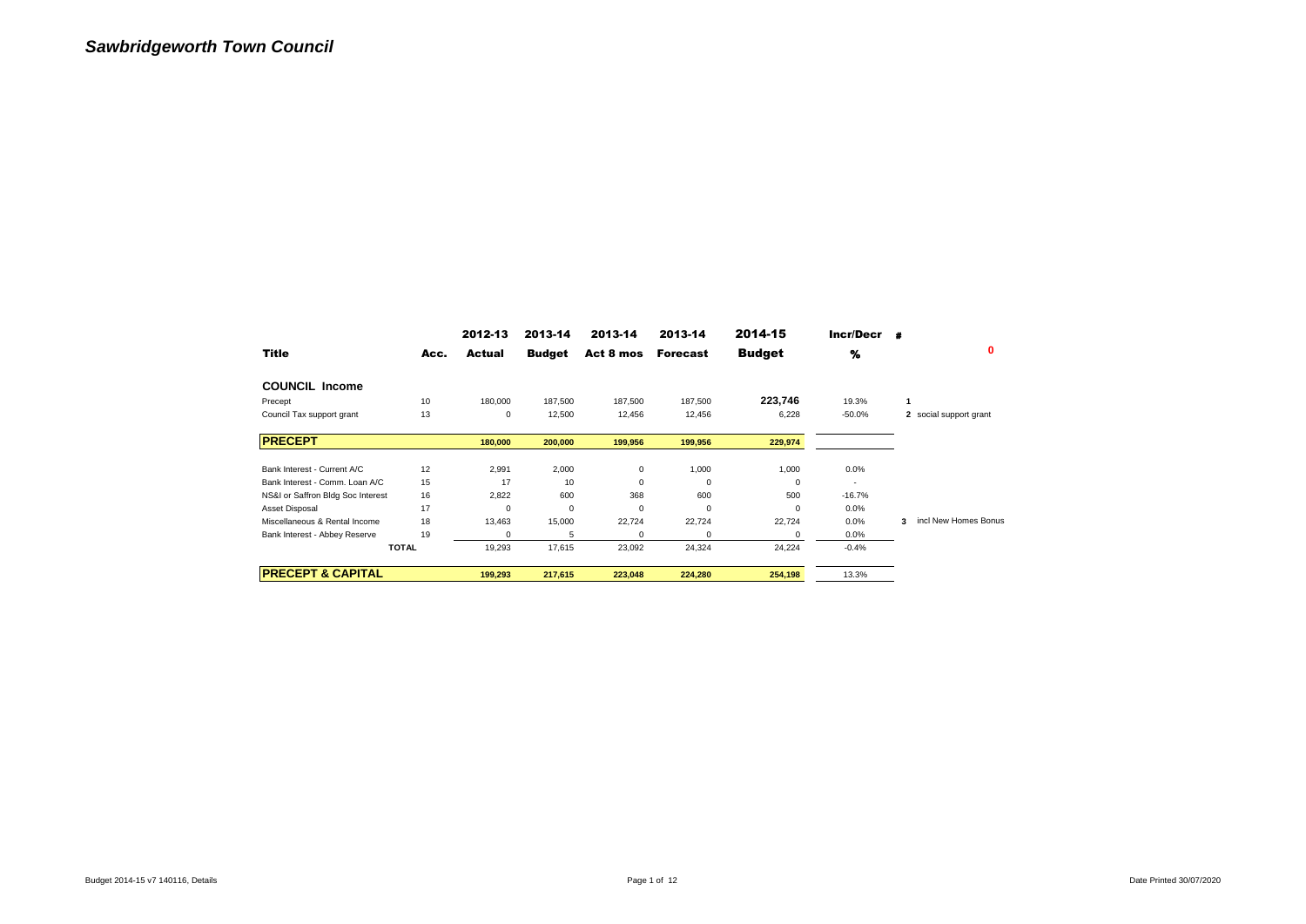|                                   |              | 2012-13  | 2013-14       | 2013-14   | 2013-14         | 2014-15       | Incr/Decr |                           |
|-----------------------------------|--------------|----------|---------------|-----------|-----------------|---------------|-----------|---------------------------|
| <b>Title</b>                      | Acc.         | Actual   | <b>Budget</b> | Act 8 mos | <b>Forecast</b> | <b>Budget</b> | %         | 0                         |
| <b>COUNCIL Income</b>             |              |          |               |           |                 |               |           |                           |
| Precept                           | 10           | 180,000  | 187,500       | 187,500   | 187,500         | 223,746       | 19.3%     |                           |
| Council Tax support grant         | 13           | 0        | 12,500        | 12,456    | 12,456          | 6,228         | $-50.0%$  | 2 social support grant    |
| <b>PRECEPT</b>                    |              | 180,000  | 200,000       | 199,956   | 199,956         | 229,974       |           |                           |
| Bank Interest - Current A/C       | 12           | 2,991    | 2,000         | 0         | 1,000           | 1,000         | $0.0\%$   |                           |
| Bank Interest - Comm. Loan A/C    | 15           | 17       | 10            | 0         | 0               | 0             |           |                           |
| NS&I or Saffron Bldg Soc Interest | 16           | 2,822    | 600           | 368       | 600             | 500           | $-16.7%$  |                           |
| Asset Disposal                    | 17           | $\Omega$ | $\mathbf 0$   | 0         | $\Omega$        | $\Omega$      | 0.0%      |                           |
| Miscellaneous & Rental Income     | 18           | 13,463   | 15,000        | 22,724    | 22,724          | 22,724        | 0.0%      | incl New Homes Bonus<br>3 |
| Bank Interest - Abbey Reserve     | 19           | 0        | 5             | 0         | $\Omega$        | 0             | $0.0\%$   |                           |
|                                   | <b>TOTAL</b> | 19,293   | 17,615        | 23,092    | 24,324          | 24,224        | $-0.4%$   |                           |
| <b>PRECEPT &amp; CAPITAL</b>      |              | 199,293  | 217,615       | 223,048   | 224,280         | 254,198       | 13.3%     |                           |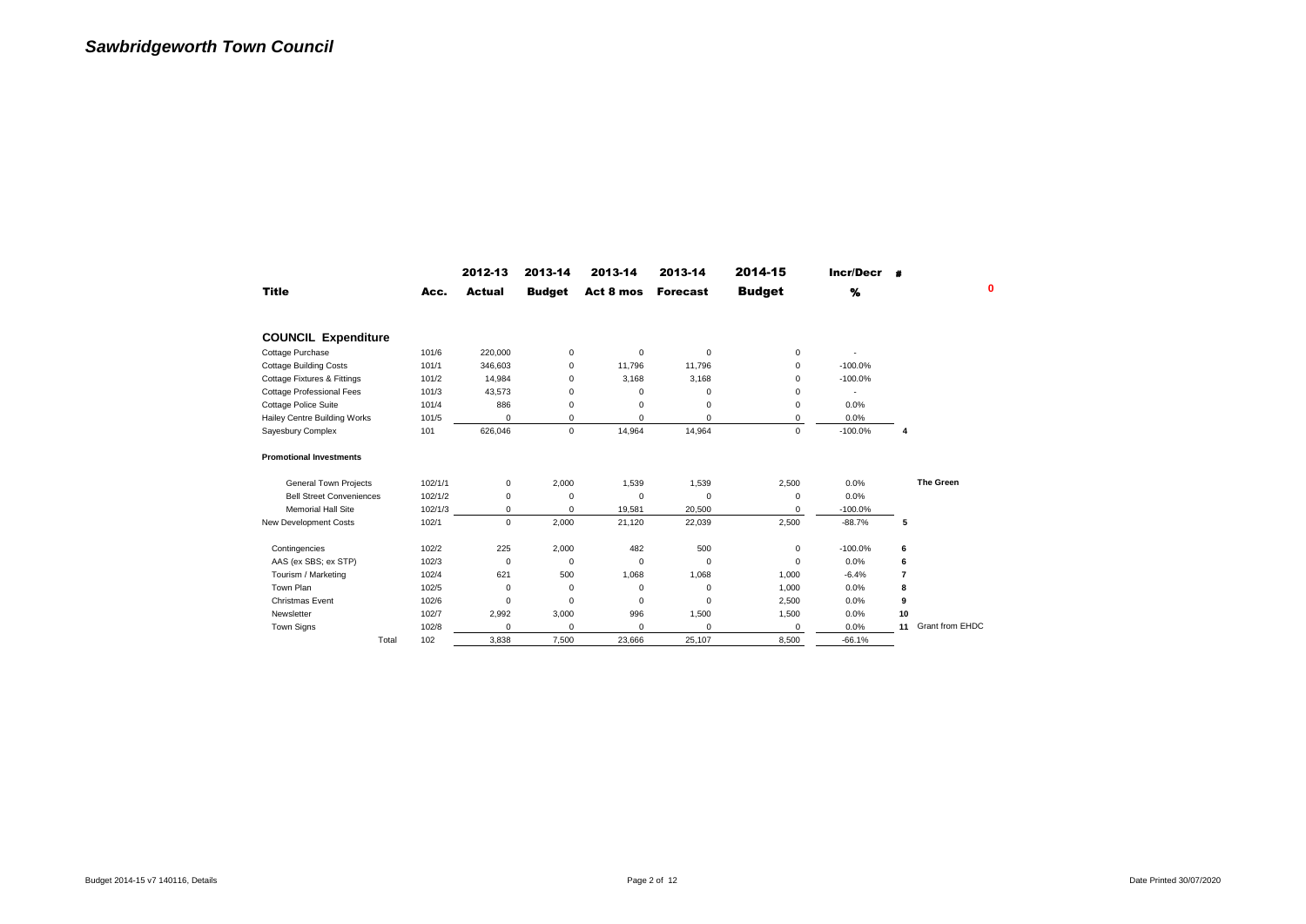|                                  |         | 2012-13     | 2013-14       | 2013-14     | 2013-14         | 2014-15       | Incr/Decr |                |                        |
|----------------------------------|---------|-------------|---------------|-------------|-----------------|---------------|-----------|----------------|------------------------|
| <b>Title</b>                     | Acc.    | Actual      | <b>Budget</b> | Act 8 mos   | <b>Forecast</b> | <b>Budget</b> | %         |                | ٥                      |
| <b>COUNCIL Expenditure</b>       |         |             |               |             |                 |               |           |                |                        |
| Cottage Purchase                 | 101/6   | 220,000     | $\mathsf 0$   | $\mathbf 0$ | $\mathbf 0$     | 0             |           |                |                        |
| <b>Cottage Building Costs</b>    | 101/1   | 346,603     | 0             | 11.796      | 11.796          | $\Omega$      | $-100.0%$ |                |                        |
| Cottage Fixtures & Fittings      | 101/2   | 14,984      | 0             | 3,168       | 3,168           | 0             | $-100.0%$ |                |                        |
| <b>Cottage Professional Fees</b> | 101/3   | 43,573      | 0             | 0           | 0               | 0             |           |                |                        |
| Cottage Police Suite             | 101/4   | 886         | 0             | $\Omega$    | 0               | 0             | 0.0%      |                |                        |
| Hailey Centre Building Works     | 101/5   | 0           | 0             | 0           | $\mathbf 0$     | 0             | 0.0%      |                |                        |
| Sayesbury Complex                | 101     | 626,046     | $\mathbf 0$   | 14.964      | 14,964          | $\mathbf 0$   | $-100.0%$ | 4              |                        |
| <b>Promotional Investments</b>   |         |             |               |             |                 |               |           |                |                        |
| <b>General Town Projects</b>     | 102/1/1 | 0           | 2,000         | 1,539       | 1,539           | 2,500         | 0.0%      |                | <b>The Green</b>       |
| <b>Bell Street Conveniences</b>  | 102/1/2 | 0           | 0             | $\Omega$    | $\mathbf 0$     | 0             | 0.0%      |                |                        |
| <b>Memorial Hall Site</b>        | 102/1/3 | 0           | 0             | 19,581      | 20,500          | 0             | $-100.0%$ |                |                        |
| New Development Costs            | 102/1   | $\mathbf 0$ | 2,000         | 21,120      | 22,039          | 2,500         | $-88.7%$  | 5              |                        |
| Contingencies                    | 102/2   | 225         | 2,000         | 482         | 500             | 0             | $-100.0%$ | 6              |                        |
| AAS (ex SBS; ex STP)             | 102/3   | $\Omega$    | 0             | $\Omega$    | $\Omega$        | $\Omega$      | 0.0%      | 6              |                        |
| Tourism / Marketing              | 102/4   | 621         | 500           | 1,068       | 1,068           | 1,000         | $-6.4%$   | $\overline{7}$ |                        |
| Town Plan                        | 102/5   | 0           | 0             | $\mathbf 0$ | $\mathbf 0$     | 1,000         | 0.0%      | 8              |                        |
| <b>Christmas Event</b>           | 102/6   | 0           | 0             | $\mathbf 0$ | 0               | 2,500         | 0.0%      | 9              |                        |
| Newsletter                       | 102/7   | 2,992       | 3,000         | 996         | 1,500           | 1,500         | 0.0%      | 10             |                        |
| <b>Town Signs</b>                | 102/8   | $\Omega$    | 0             | 0           | $\mathbf 0$     | $\Omega$      | 0.0%      | 11             | <b>Grant from EHDC</b> |
| Total                            | 102     | 3.838       | 7.500         | 23.666      | 25.107          | 8.500         | $-66.1%$  |                |                        |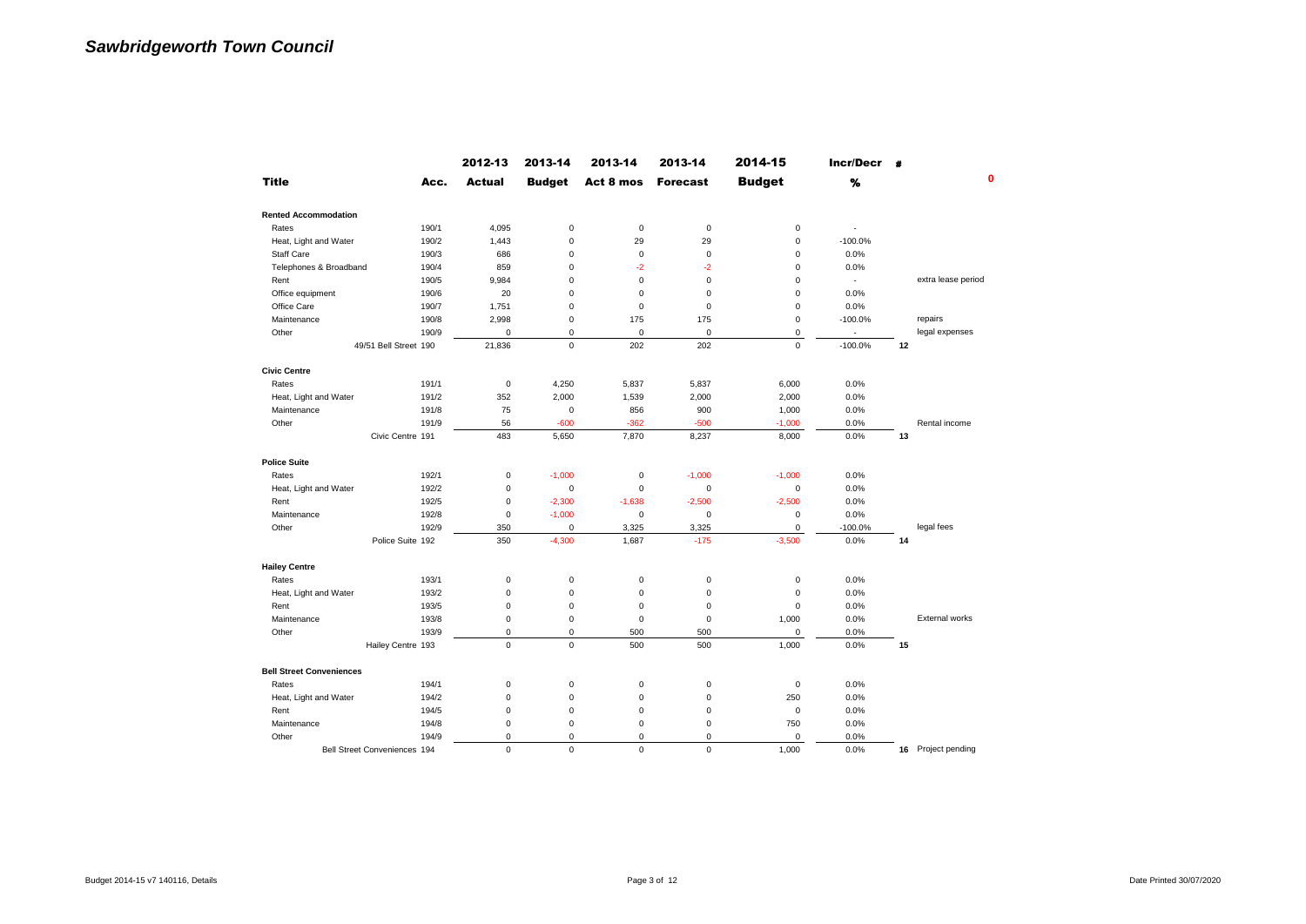|                                 |                              | 2012-13       | 2013-14       | 2013-14     | 2013-14         | 2014-15       | Incr/Decr |    |                       |
|---------------------------------|------------------------------|---------------|---------------|-------------|-----------------|---------------|-----------|----|-----------------------|
| <b>Title</b>                    | Acc.                         | <b>Actual</b> | <b>Budget</b> | Act 8 mos   | <b>Forecast</b> | <b>Budget</b> | %         |    | $\mathbf{0}$          |
| <b>Rented Accommodation</b>     |                              |               |               |             |                 |               |           |    |                       |
| Rates                           | 190/1                        | 4,095         | $\mathbf 0$   | $\mathsf 0$ | $\mathbf 0$     | $\mathbf 0$   |           |    |                       |
| Heat, Light and Water           | 190/2                        | 1,443         | $\mathbf 0$   | 29          | 29              | $\mathbf 0$   | $-100.0%$ |    |                       |
| <b>Staff Care</b>               | 190/3                        | 686           | $\bf 0$       | 0           | $\mathsf 0$     | $\bf 0$       | 0.0%      |    |                       |
| Telephones & Broadband          | 190/4                        | 859           | $\mathbf 0$   | $-2$        | $-2$            | $\bf 0$       | 0.0%      |    |                       |
| Rent                            | 190/5                        | 9,984         | $\bf 0$       | 0           | $\mathsf 0$     | $\bf 0$       |           |    | extra lease period    |
| Office equipment                | 190/6                        | 20            | $\mathbf 0$   | $\mathbf 0$ | $\mathbf 0$     | $\mathbf 0$   | 0.0%      |    |                       |
| Office Care                     | 190/7                        | 1,751         | $\mathbf 0$   | $\mathbf 0$ | $\mathbf 0$     | $\mathbf 0$   | 0.0%      |    |                       |
| Maintenance                     | 190/8                        | 2,998         | $\bf 0$       | 175         | 175             | $\bf 0$       | $-100.0%$ |    | repairs               |
| Other                           | 190/9                        | $\mathbf 0$   | $\bf 0$       | 0           | $\pmb{0}$       | $\pmb{0}$     |           |    | legal expenses        |
|                                 | 49/51 Bell Street 190        | 21,836        | $\mathbf 0$   | 202         | 202             | $\mathbf 0$   | $-100.0%$ | 12 |                       |
| <b>Civic Centre</b>             |                              |               |               |             |                 |               |           |    |                       |
| Rates                           | 191/1                        | $\mathbf 0$   | 4,250         | 5,837       | 5,837           | 6,000         | 0.0%      |    |                       |
| Heat, Light and Water           | 191/2                        | 352           | 2,000         | 1,539       | 2,000           | 2,000         | 0.0%      |    |                       |
| Maintenance                     | 191/8                        | 75            | $\mathbf 0$   | 856         | 900             | 1,000         | 0.0%      |    |                       |
| Other                           | 191/9                        | 56            | $-600$        | $-362$      | $-500$          | $-1,000$      | 0.0%      |    | Rental income         |
|                                 | Civic Centre 191             | 483           | 5,650         | 7,870       | 8,237           | 8,000         | 0.0%      | 13 |                       |
| <b>Police Suite</b>             |                              |               |               |             |                 |               |           |    |                       |
| Rates                           | 192/1                        | 0             | $-1,000$      | 0           | $-1,000$        | $-1,000$      | 0.0%      |    |                       |
| Heat, Light and Water           | 192/2                        | $\mathbf 0$   | $\mathbf 0$   | $\Omega$    | $\mathbf 0$     | $\mathbf 0$   | 0.0%      |    |                       |
| Rent                            | 192/5                        | $\mathbf 0$   | $-2,300$      | $-1,638$    | $-2.500$        | $-2,500$      | 0.0%      |    |                       |
| Maintenance                     | 192/8                        | 0             | $-1,000$      | 0           | 0               | 0             | 0.0%      |    |                       |
| Other                           | 192/9                        | 350           | $\mathbf 0$   | 3,325       | 3,325           | $\mathbf 0$   | $-100.0%$ |    | legal fees            |
|                                 | Police Suite 192             | 350           | $-4,300$      | 1,687       | $-175$          | $-3,500$      | 0.0%      | 14 |                       |
| <b>Hailey Centre</b>            |                              |               |               |             |                 |               |           |    |                       |
| Rates                           | 193/1                        | 0             | $\bf 0$       | 0           | $\mathsf 0$     | $\bf 0$       | 0.0%      |    |                       |
| Heat, Light and Water           | 193/2                        | 0             | $\bf 0$       | 0           | $\pmb{0}$       | $\bf 0$       | 0.0%      |    |                       |
| Rent                            | 193/5                        | 0             | $\mathbf 0$   | $\mathsf 0$ | $\mathsf 0$     | $\mathbf 0$   | 0.0%      |    |                       |
| Maintenance                     | 193/8                        | $\mathbf 0$   | $\mathbf 0$   | $\mathbf 0$ | $\mathbf 0$     | 1,000         | 0.0%      |    | <b>External works</b> |
| Other                           | 193/9                        | $\Omega$      | $\mathbf 0$   | 500         | 500             | 0             | 0.0%      |    |                       |
|                                 | Hailey Centre 193            | $\mathbf 0$   | $\mathbf 0$   | 500         | 500             | 1,000         | 0.0%      | 15 |                       |
| <b>Bell Street Conveniences</b> |                              |               |               |             |                 |               |           |    |                       |
| Rates                           | 194/1                        | $\pmb{0}$     | $\bf 0$       | 0           | $\mathsf 0$     | $\bf 0$       | 0.0%      |    |                       |
| Heat, Light and Water           | 194/2                        | $\mathbf 0$   | $\mathbf 0$   | $\mathbf 0$ | $\mathbf 0$     | 250           | 0.0%      |    |                       |
| Rent                            | 194/5                        | 0             | $\bf 0$       | 0           | 0               | $\bf 0$       | 0.0%      |    |                       |
| Maintenance                     | 194/8                        | 0             | $\bf 0$       | $\mathbf 0$ | $\pmb{0}$       | 750           | 0.0%      |    |                       |
| Other                           | 194/9                        | $\mathbf 0$   | $\mathbf 0$   | $\mathbf 0$ | 0               | $\bf 0$       | 0.0%      |    |                       |
|                                 | Bell Street Conveniences 194 | $\Omega$      | $\Omega$      | $\Omega$    | $\Omega$        | 1,000         | 0.0%      | 16 | Project pending       |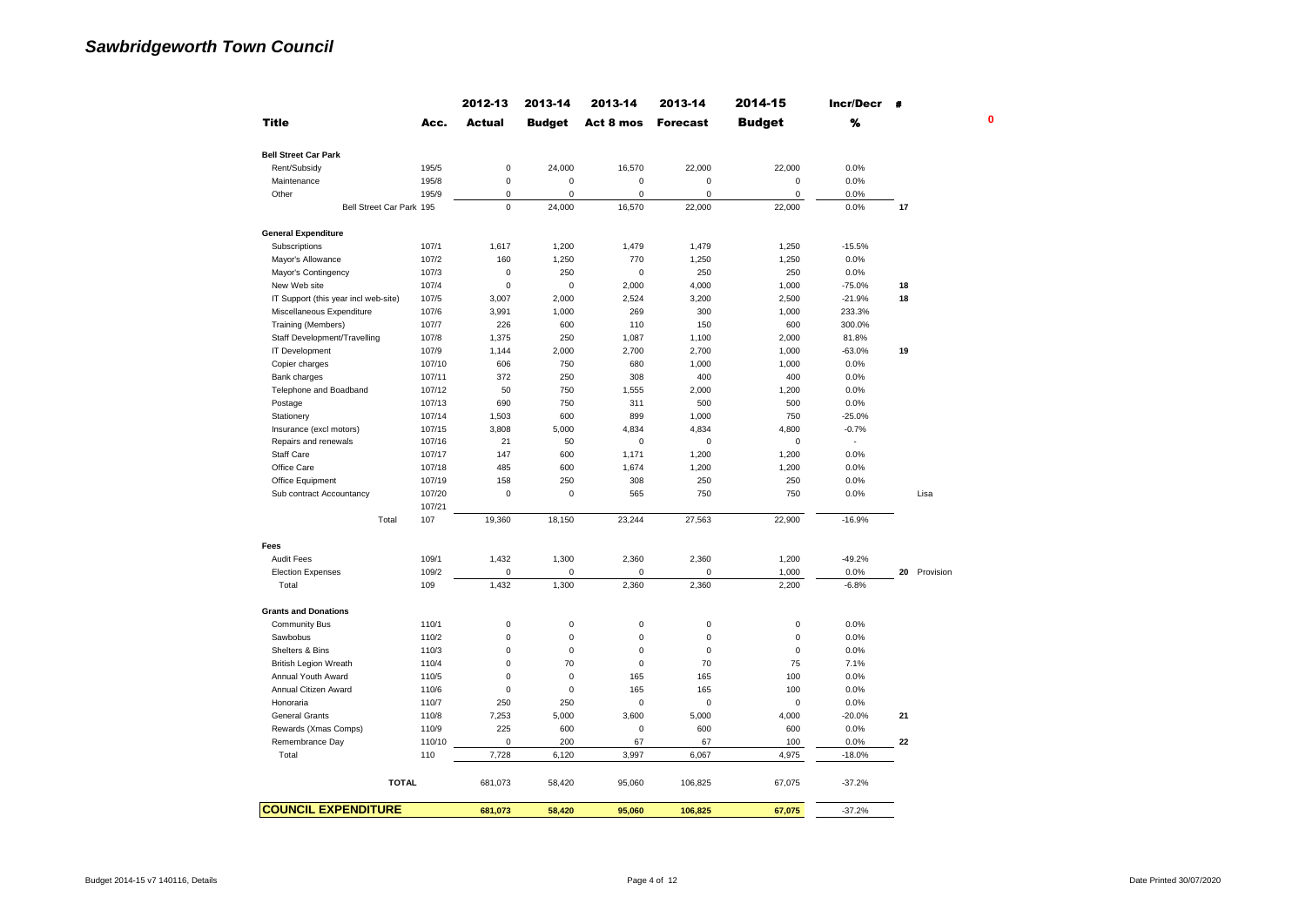|                                      |               | 2012-13       | 2013-14       | 2013-14             | 2013-14         | 2014-15       | Incr/Decr | $\bullet$    |
|--------------------------------------|---------------|---------------|---------------|---------------------|-----------------|---------------|-----------|--------------|
| <b>Title</b>                         | Acc.          | <b>Actual</b> | <b>Budget</b> | Act 8 mos           | <b>Forecast</b> | <b>Budget</b> | %         |              |
| <b>Bell Street Car Park</b>          |               |               |               |                     |                 |               |           |              |
| Rent/Subsidy                         | 195/5         | $\pmb{0}$     | 24,000        | 16,570              | 22,000          | 22,000        | 0.0%      |              |
| Maintenance                          | 195/8         | $\pmb{0}$     | 0             | $\pmb{0}$           | $\mathsf 0$     | $\pmb{0}$     | 0.0%      |              |
| Other                                | 195/9         | 0             | 0             | $\mathbf 0$         | 0               | 0             | 0.0%      |              |
| Bell Street Car Park 195             |               | $\mathbf 0$   | 24,000        | 16,570              | 22,000          | 22,000        | 0.0%      | 17           |
| <b>General Expenditure</b>           |               |               |               |                     |                 |               |           |              |
| Subscriptions                        | 107/1         | 1,617         | 1,200         | 1,479               | 1,479           | 1,250         | $-15.5%$  |              |
| Mayor's Allowance                    | 107/2         | 160           | 1,250         | 770                 | 1,250           | 1,250         | 0.0%      |              |
| Mayor's Contingency                  | 107/3         | $\mathbf 0$   | 250           | $\mathbf 0$         | 250             | 250           | 0.0%      |              |
| New Web site                         | 107/4         | $\mathbf 0$   | 0             | 2,000               | 4,000           | 1,000         | $-75.0%$  | 18           |
| IT Support (this year incl web-site) | 107/5         | 3,007         | 2,000         | 2,524               | 3,200           | 2,500         | $-21.9%$  | 18           |
| Miscellaneous Expenditure            | 107/6         | 3,991         | 1,000         | 269                 | 300             | 1,000         | 233.3%    |              |
| Training (Members)                   | 107/7         | 226           | 600           | 110                 | 150             | 600           | 300.0%    |              |
| Staff Development/Travelling         | 107/8         | 1,375         | 250           | 1,087               | 1,100           | 2,000         | 81.8%     |              |
| IT Development                       | 107/9         | 1,144         | 2,000         | 2,700               | 2,700           | 1,000         | $-63.0%$  | 19           |
| Copier charges                       | 107/10        | 606           | 750           | 680                 | 1,000           | 1,000         | 0.0%      |              |
| Bank charges                         | 107/11        | 372           | 250           | 308                 | 400             | 400           | 0.0%      |              |
| Telephone and Boadband               | 107/12        | 50            | 750           | 1,555               | 2,000           | 1,200         | 0.0%      |              |
| Postage                              | 107/13        | 690           | 750           | 311                 | 500             | 500           | 0.0%      |              |
|                                      | 107/14        |               | 600           | 899                 |                 |               | $-25.0%$  |              |
| Stationery                           |               | 1,503         |               |                     | 1,000           | 750           |           |              |
| Insurance (excl motors)              | 107/15        | 3,808         | 5,000         | 4,834               | 4,834           | 4,800         | $-0.7%$   |              |
| Repairs and renewals                 | 107/16        | 21            | 50            | $\mathbf 0$         | $\mathbf 0$     | $\mathbf 0$   | ×.        |              |
| <b>Staff Care</b>                    | 107/17        | 147           | 600           | 1,171               | 1,200           | 1,200         | 0.0%      |              |
| Office Care                          | 107/18        | 485           | 600           | 1,674               | 1,200           | 1,200         | 0.0%      |              |
| Office Equipment                     | 107/19        | 158           | 250           | 308                 | 250             | 250           | 0.0%      |              |
| Sub contract Accountancy             | 107/20        | $\mathbf 0$   | 0             | 565                 | 750             | 750           | 0.0%      | Lisa         |
| Total                                | 107/21<br>107 | 19,360        | 18,150        | 23,244              | 27,563          | 22,900        | $-16.9%$  |              |
|                                      |               |               |               |                     |                 |               |           |              |
| Fees                                 |               |               |               |                     |                 |               |           |              |
| Audit Fees                           | 109/1         | 1,432         | 1,300         | 2,360               | 2,360           | 1,200         | $-49.2%$  |              |
| <b>Election Expenses</b>             | 109/2         | $\pmb{0}$     | 0             | 0                   | 0               | 1,000         | 0.0%      | 20 Provision |
| Total                                | 109           | 1,432         | 1,300         | 2,360               | 2,360           | 2,200         | $-6.8%$   |              |
| <b>Grants and Donations</b>          |               |               |               |                     |                 |               |           |              |
| <b>Community Bus</b>                 | 110/1         | $\pmb{0}$     | 0             | 0                   | $\mathbf 0$     | $\pmb{0}$     | 0.0%      |              |
| Sawbobus                             | 110/2         | $\pmb{0}$     | 0             | $\mathbf 0$         | $\mathbf 0$     | $\pmb{0}$     | 0.0%      |              |
| Shelters & Bins                      | 110/3         | $\pmb{0}$     | $\pmb{0}$     | $\mathbf 0$         | $\mathbf 0$     | $\mathbf 0$   | 0.0%      |              |
| <b>British Legion Wreath</b>         | 110/4         | $\mathbf 0$   | 70            | $\mathbf 0$         | 70              | 75            | 7.1%      |              |
| Annual Youth Award                   | 110/5         | $\mathbf 0$   | 0             | 165                 | 165             | 100           | 0.0%      |              |
| Annual Citizen Award                 | 110/6         | $\mathbf 0$   | $\mathbf 0$   | 165                 | 165             | 100           | 0.0%      |              |
| Honoraria                            | 110/7         | 250           | 250           | $\pmb{0}$           | $\mathbf 0$     | $\pmb{0}$     | 0.0%      |              |
| <b>General Grants</b>                | 110/8         | 7,253         | 5,000         | 3,600               | 5,000           | 4,000         | $-20.0%$  | 21           |
| Rewards (Xmas Comps)                 | 110/9         | 225           | 600           | $\mathsf{O}\xspace$ | 600             | 600           | 0.0%      |              |
| Remembrance Day                      | 110/10        | $\mathbf 0$   | 200           | 67                  | 67              | 100           | 0.0%      | 22           |
| Total                                | 110           | 7,728         | 6,120         | 3,997               | 6,067           | 4,975         | $-18.0%$  |              |
| <b>TOTAL</b>                         |               | 681,073       | 58,420        | 95,060              | 106,825         | 67,075        | $-37.2%$  |              |
| <b>COUNCIL EXPENDITURE</b>           |               | 681.073       | 58,420        | 95.060              | 106,825         | 67.075        | $-37.2%$  |              |
|                                      |               |               |               |                     |                 |               |           |              |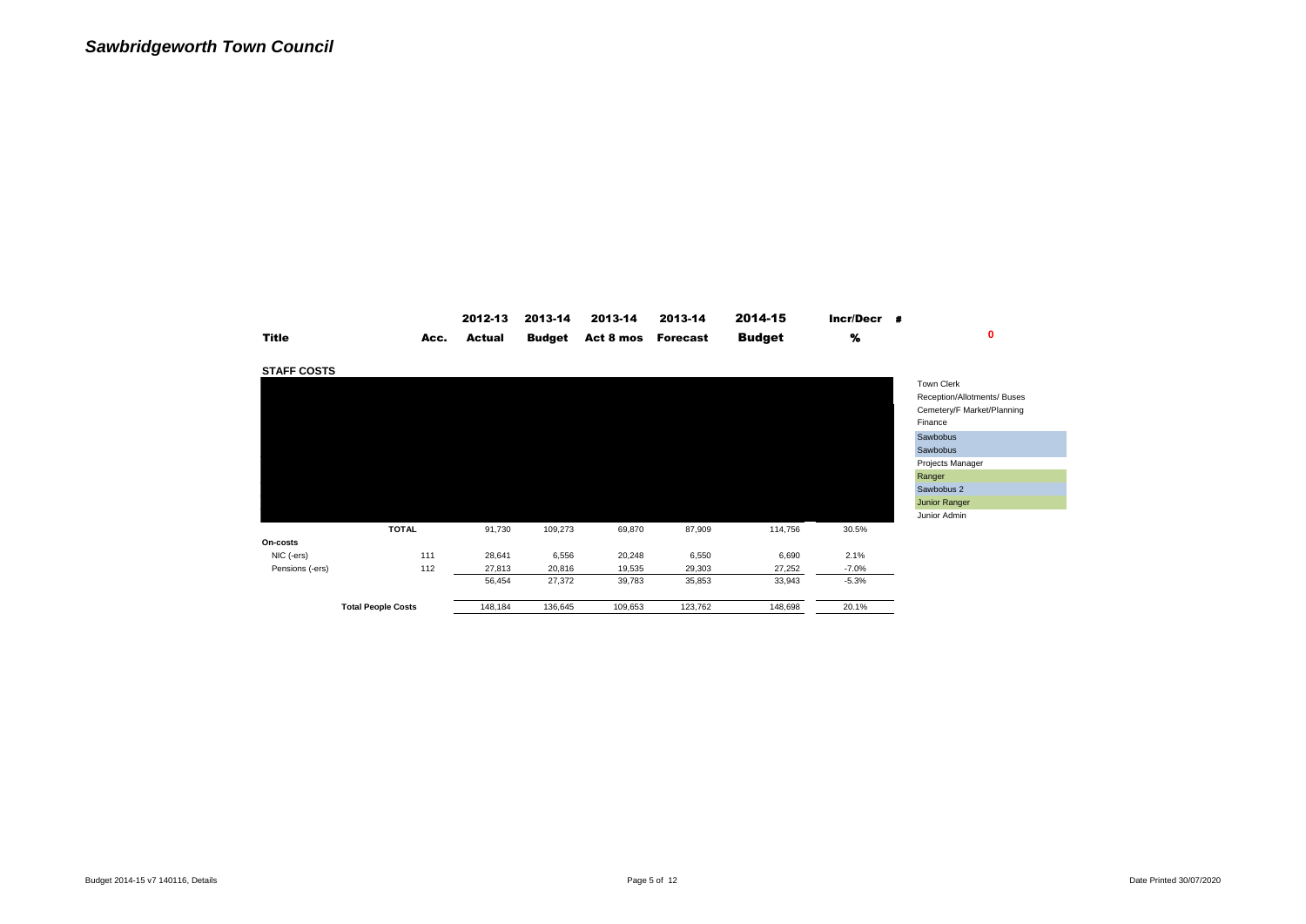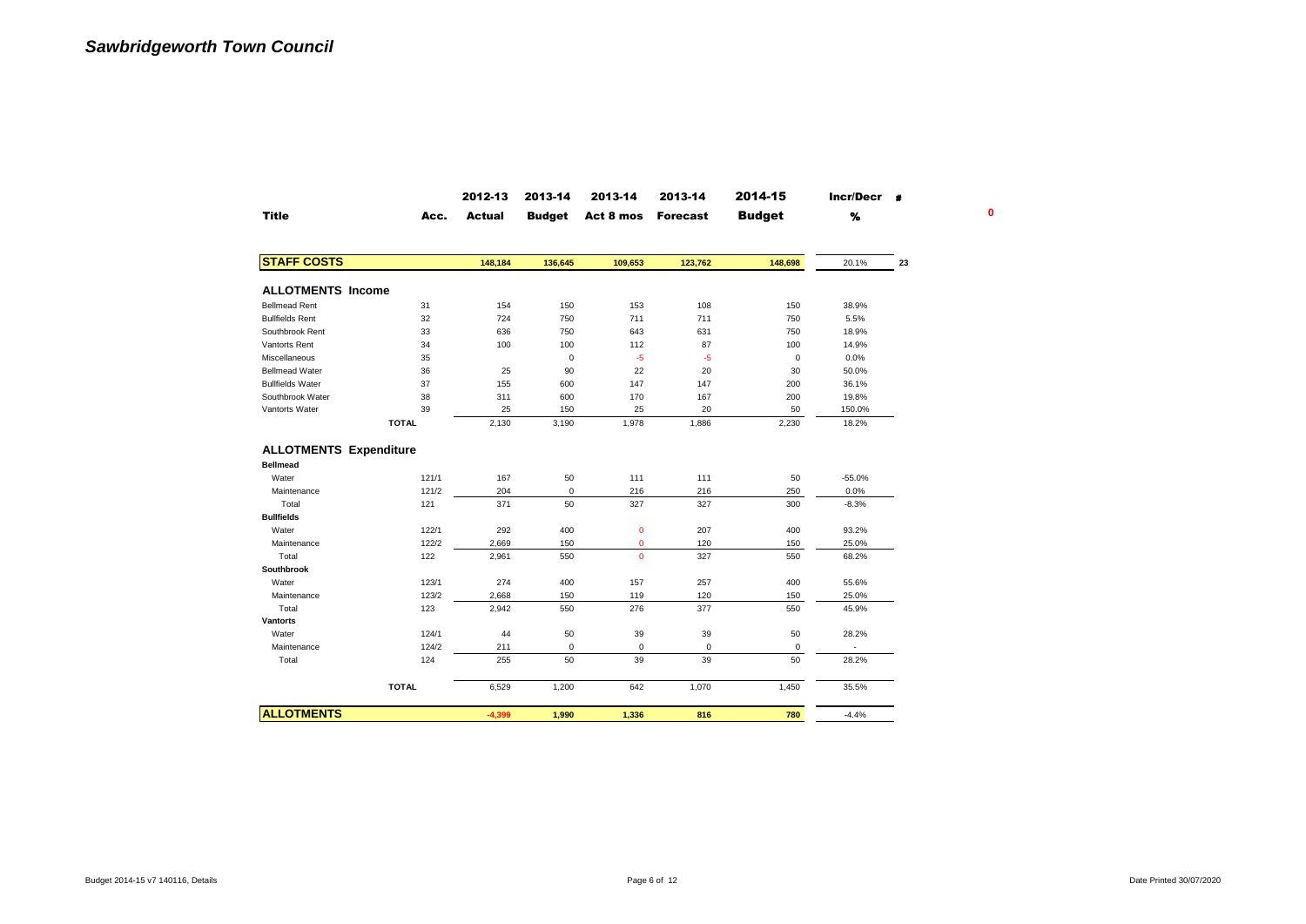|                               |              | 2012-13       | 2013-14       | 2013-14     | 2013-14         | 2014-15       | Incr/Decr # |    |  |
|-------------------------------|--------------|---------------|---------------|-------------|-----------------|---------------|-------------|----|--|
| <b>Title</b>                  | Acc.         | <b>Actual</b> | <b>Budget</b> | Act 8 mos   | <b>Forecast</b> | <b>Budget</b> | %           |    |  |
| <b>STAFF COSTS</b>            |              | 148,184       | 136,645       | 109,653     | 123,762         | 148,698       | 20.1%       | 23 |  |
|                               |              |               |               |             |                 |               |             |    |  |
| <b>ALLOTMENTS Income</b>      |              |               |               |             |                 |               |             |    |  |
| <b>Bellmead Rent</b>          | 31           | 154           | 150           | 153         | 108             | 150           | 38.9%       |    |  |
| <b>Bullfields Rent</b>        | 32           | 724           | 750           | 711         | 711             | 750           | 5.5%        |    |  |
| Southbrook Rent               | 33           | 636           | 750           | 643         | 631             | 750           | 18.9%       |    |  |
| Vantorts Rent                 | 34           | 100           | 100           | 112         | 87              | 100           | 14.9%       |    |  |
| Miscellaneous                 | 35           |               | 0             | -5          | $-5$            | $\mathsf 0$   | 0.0%        |    |  |
| <b>Bellmead Water</b>         | 36           | 25            | 90            | 22          | 20              | 30            | 50.0%       |    |  |
| <b>Bullfields Water</b>       | 37           | 155           | 600           | 147         | 147             | 200           | 36.1%       |    |  |
| Southbrook Water              | 38           | 311           | 600           | 170         | 167             | 200           | 19.8%       |    |  |
| Vantorts Water                | 39           | 25            | 150           | 25          | 20              | 50            | 150.0%      |    |  |
|                               | <b>TOTAL</b> | 2,130         | 3,190         | 1,978       | 1,886           | 2,230         | 18.2%       |    |  |
| <b>ALLOTMENTS Expenditure</b> |              |               |               |             |                 |               |             |    |  |
| <b>Bellmead</b>               |              |               |               |             |                 |               |             |    |  |
| Water                         | 121/1        | 167           | 50            | 111         | 111             | 50            | $-55.0%$    |    |  |
| Maintenance                   | 121/2        | 204           | 0             | 216         | 216             | 250           | 0.0%        |    |  |
| Total                         | 121          | 371           | 50            | 327         | 327             | 300           | $-8.3%$     |    |  |
| <b>Bullfields</b>             |              |               |               |             |                 |               |             |    |  |
| Water                         | 122/1        | 292           | 400           | $\mathbf 0$ | 207             | 400           | 93.2%       |    |  |
| Maintenance                   | 122/2        | 2,669         | 150           | $\mathbf 0$ | 120             | 150           | 25.0%       |    |  |
| Total                         | 122          | 2,961         | 550           | $\Omega$    | 327             | 550           | 68.2%       |    |  |
| Southbrook                    |              |               |               |             |                 |               |             |    |  |
| Water                         | 123/1        | 274           | 400           | 157         | 257             | 400           | 55.6%       |    |  |
| Maintenance                   | 123/2        | 2,668         | 150           | 119         | 120             | 150           | 25.0%       |    |  |
| Total                         | 123          | 2,942         | 550           | 276         | 377             | 550           | 45.9%       |    |  |
| Vantorts                      |              |               |               |             |                 |               |             |    |  |
| Water                         | 124/1        | 44            | 50            | 39          | 39              | 50            | 28.2%       |    |  |
| Maintenance                   | 124/2        | 211           | 0             | 0           | 0               | 0             | ٠           |    |  |
| Total                         | 124          | 255           | 50            | 39          | 39              | 50            | 28.2%       |    |  |
|                               | <b>TOTAL</b> | 6,529         | 1,200         | 642         | 1,070           | 1,450         | 35.5%       |    |  |
| <b>ALLOTMENTS</b>             |              |               |               |             |                 |               |             |    |  |
|                               |              | $-4,399$      | 1,990         | 1,336       | 816             | 780           | $-4.4%$     |    |  |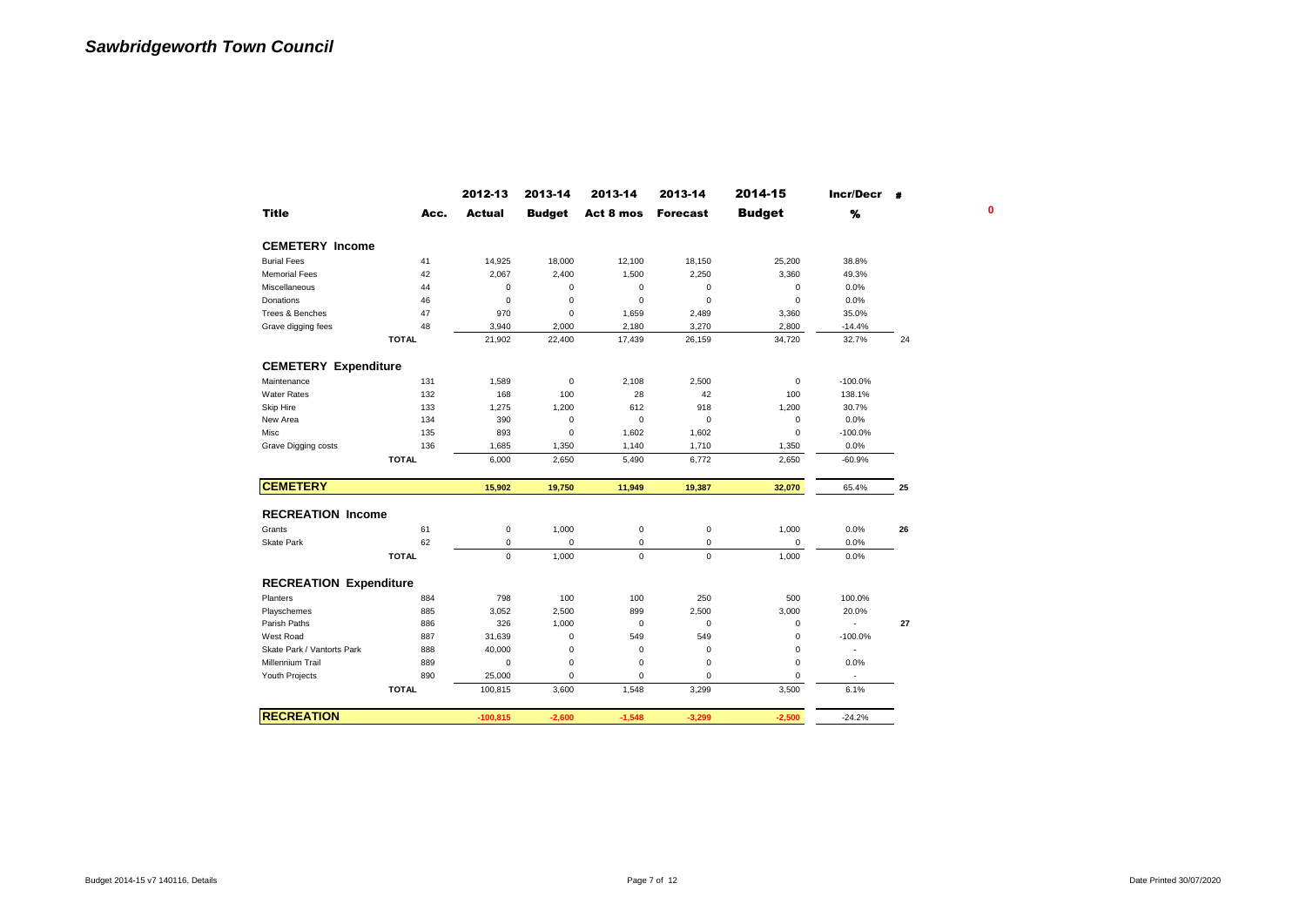|                               |              | 2012-13       | 2013-14       | 2013-14             | 2013-14         | 2014-15       | Incr/Decr #    |    |
|-------------------------------|--------------|---------------|---------------|---------------------|-----------------|---------------|----------------|----|
| <b>Title</b>                  | Acc.         | <b>Actual</b> | <b>Budget</b> | Act 8 mos           | <b>Forecast</b> | <b>Budget</b> | %              |    |
| <b>CEMETERY Income</b>        |              |               |               |                     |                 |               |                |    |
| <b>Burial Fees</b>            | 41           | 14,925        | 18,000        | 12,100              | 18,150          | 25,200        | 38.8%          |    |
| <b>Memorial Fees</b>          | 42           | 2,067         | 2,400         | 1,500               | 2,250           | 3,360         | 49.3%          |    |
| Miscellaneous                 | 44           | 0             | 0             | 0                   | 0               | 0             | 0.0%           |    |
| Donations                     | 46           | $\mathbf 0$   | $\mathbf 0$   | $\mathbf 0$         | 0               | 0             | 0.0%           |    |
| Trees & Benches               | 47           | 970           | $\mathbf 0$   | 1,659               | 2,489           | 3,360         | 35.0%          |    |
| Grave digging fees            | 48           | 3,940         | 2,000         | 2,180               | 3,270           | 2,800         | $-14.4%$       |    |
|                               | <b>TOTAL</b> | 21,902        | 22,400        | 17,439              | 26,159          | 34,720        | 32.7%          | 24 |
| <b>CEMETERY Expenditure</b>   |              |               |               |                     |                 |               |                |    |
| Maintenance                   | 131          | 1,589         | $\mathsf 0$   | 2,108               | 2,500           | 0             | $-100.0%$      |    |
| <b>Water Rates</b>            | 132          | 168           | 100           | 28                  | 42              | 100           | 138.1%         |    |
| Skip Hire                     | 133          | 1,275         | 1,200         | 612                 | 918             | 1,200         | 30.7%          |    |
| New Area                      | 134          | 390           | $\mathsf 0$   | $\mathbf 0$         | 0               | 0             | 0.0%           |    |
| Misc                          | 135          | 893           | $\mathsf 0$   | 1,602               | 1,602           | 0             | $-100.0%$      |    |
| Grave Digging costs           | 136          | 1,685         | 1,350         | 1,140               | 1,710           | 1,350         | 0.0%           |    |
|                               | <b>TOTAL</b> | 6,000         | 2,650         | 5,490               | 6,772           | 2,650         | $-60.9%$       |    |
| <b>CEMETERY</b>               |              | 15,902        | 19,750        | 11,949              | 19,387          | 32,070        | 65.4%          | 25 |
| <b>RECREATION Income</b>      |              |               |               |                     |                 |               |                |    |
| Grants                        | 61           | 0             | 1,000         | $\mathsf{O}\xspace$ | 0               | 1,000         | 0.0%           | 26 |
| Skate Park                    | 62           | 0             | $\pmb{0}$     | 0                   | 0               | 0             | 0.0%           |    |
|                               | <b>TOTAL</b> | $\Omega$      | 1,000         | $\Omega$            | $\mathbf 0$     | 1,000         | 0.0%           |    |
|                               |              |               |               |                     |                 |               |                |    |
| <b>RECREATION Expenditure</b> |              |               |               |                     |                 |               |                |    |
| Planters                      | 884          | 798           | 100           | 100                 | 250             | 500           | 100.0%         |    |
| Playschemes                   | 885          | 3,052         | 2,500         | 899                 | 2,500           | 3,000         | 20.0%          |    |
| Parish Paths                  | 886          | 326           | 1,000         | $\pmb{0}$           | 0               | 0             | $\sim$         | 27 |
| West Road                     | 887          | 31,639        | $\mathbf 0$   | 549                 | 549             | 0             | $-100.0%$      |    |
| Skate Park / Vantorts Park    | 888          | 40,000        | $\bf 0$       | $\pmb{0}$           | 0               | 0             | $\blacksquare$ |    |
| <b>Millennium Trail</b>       | 889          | 0             | 0             | 0                   | 0               | 0             | 0.0%           |    |
| Youth Projects                | 890          | 25,000        | $\pmb{0}$     | $\mathbf 0$         | 0               | 0             |                |    |
|                               | <b>TOTAL</b> | 100,815       | 3,600         | 1,548               | 3,299           | 3,500         | 6.1%           |    |
| <b>RECREATION</b>             |              | $-100,815$    | $-2,600$      | $-1,548$            | $-3,299$        | $-2,500$      | $-24.2%$       |    |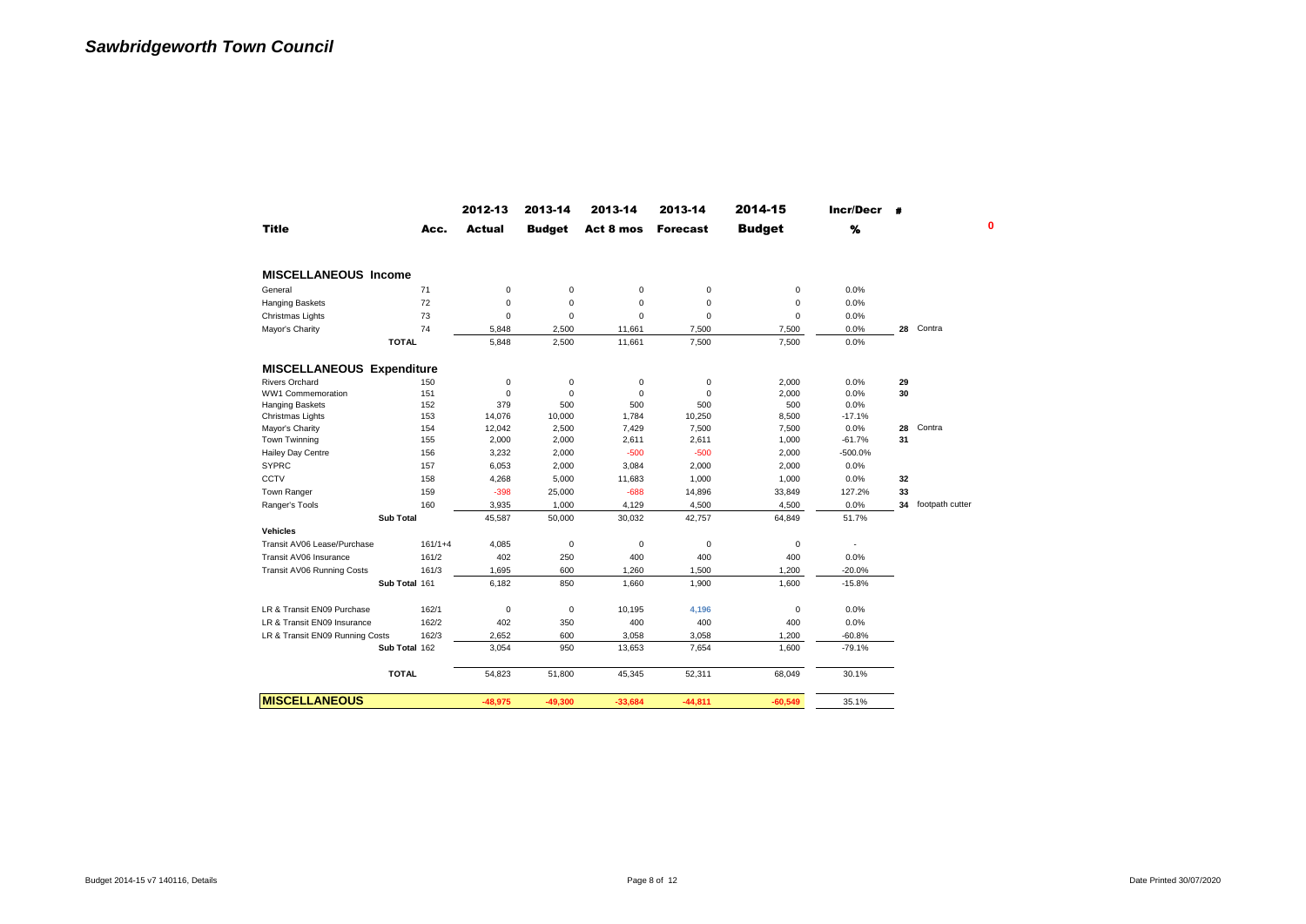|                                  |                  | 2012-13     | 2013-14       | 2013-14     | 2013-14         | 2014-15       | $Incr/Decr$ # |    |                    |
|----------------------------------|------------------|-------------|---------------|-------------|-----------------|---------------|---------------|----|--------------------|
| <b>Title</b>                     | Acc.             | Actual      | <b>Budget</b> | Act 8 mos   | <b>Forecast</b> | <b>Budget</b> | %             |    |                    |
| <b>MISCELLANEOUS Income</b>      |                  |             |               |             |                 |               |               |    |                    |
| General                          | 71               | $\mathbf 0$ | $\pmb{0}$     | $\mathbf 0$ | $\bf 0$         | 0             | 0.0%          |    |                    |
| Hanging Baskets                  | 72               | $\mathbf 0$ | $\mathbf 0$   | $\mathbf 0$ | 0               | 0             | 0.0%          |    |                    |
| Christmas Lights                 | 73               | $\Omega$    | $\mathbf 0$   | $\Omega$    | $\mathbf 0$     | 0             | 0.0%          |    |                    |
| Mayor's Charity                  | 74               | 5,848       | 2,500         | 11,661      | 7,500           | 7,500         | 0.0%          |    | 28 Contra          |
|                                  | <b>TOTAL</b>     | 5,848       | 2,500         | 11,661      | 7,500           | 7,500         | 0.0%          |    |                    |
| <b>MISCELLANEOUS Expenditure</b> |                  |             |               |             |                 |               |               |    |                    |
| <b>Rivers Orchard</b>            | 150              | $\mathbf 0$ | $\pmb{0}$     | 0           | $\bf 0$         | 2,000         | 0.0%          | 29 |                    |
| WW1 Commemoration                | 151              | $\mathbf 0$ | $\mathbf 0$   | $\mathbf 0$ | $\mathbf 0$     | 2,000         | 0.0%          | 30 |                    |
| <b>Hanging Baskets</b>           | 152              | 379         | 500           | 500         | 500             | 500           | 0.0%          |    |                    |
| Christmas Lights                 | 153              | 14.076      | 10,000        | 1,784       | 10,250          | 8,500         | $-17.1%$      |    |                    |
| Mayor's Charity                  | 154              | 12,042      | 2,500         | 7,429       | 7,500           | 7,500         | 0.0%          | 28 | Contra             |
| Town Twinning                    | 155              | 2,000       | 2,000         | 2,611       | 2,611           | 1,000         | $-61.7%$      | 31 |                    |
| Hailey Day Centre                | 156              | 3,232       | 2,000         | $-500$      | $-500$          | 2,000         | -500.0%       |    |                    |
| <b>SYPRC</b>                     | 157              | 6,053       | 2,000         | 3,084       | 2,000           | 2,000         | 0.0%          |    |                    |
| CCTV                             | 158              | 4,268       | 5,000         | 11,683      | 1,000           | 1,000         | 0.0%          | 32 |                    |
| Town Ranger                      | 159              | $-398$      | 25,000        | $-688$      | 14,896          | 33,849        | 127.2%        | 33 |                    |
| Ranger's Tools                   | 160              | 3,935       | 1,000         | 4,129       | 4,500           | 4,500         | 0.0%          |    | 34 footpath cutter |
|                                  | <b>Sub Total</b> | 45,587      | 50,000        | 30,032      | 42,757          | 64,849        | 51.7%         |    |                    |
| <b>Vehicles</b>                  |                  |             |               |             |                 |               |               |    |                    |
| Transit AV06 Lease/Purchase      | $161/1+4$        | 4,085       | $\pmb{0}$     | 0           | $\pmb{0}$       | 0             | $\sim$        |    |                    |
| Transit AV06 Insurance           | 161/2            | 402         | 250           | 400         | 400             | 400           | 0.0%          |    |                    |
| Transit AV06 Running Costs       | 161/3            | 1,695       | 600           | 1,260       | 1,500           | 1,200         | $-20.0%$      |    |                    |
|                                  | Sub Total 161    | 6,182       | 850           | 1,660       | 1,900           | 1,600         | $-15.8%$      |    |                    |
| LR & Transit EN09 Purchase       | 162/1            | $\mathbf 0$ | $\mathbf 0$   | 10.195      | 4,196           | 0             | 0.0%          |    |                    |
| LR & Transit EN09 Insurance      | 162/2            | 402         | 350           | 400         | 400             | 400           | 0.0%          |    |                    |
| LR & Transit EN09 Running Costs  | 162/3            | 2,652       | 600           | 3,058       | 3,058           | 1,200         | $-60.8%$      |    |                    |
|                                  | Sub Total 162    | 3,054       | 950           | 13,653      | 7,654           | 1,600         | $-79.1%$      |    |                    |
|                                  | <b>TOTAL</b>     | 54,823      | 51,800        | 45,345      | 52,311          | 68,049        | 30.1%         |    |                    |
| <b>MISCELLANEOUS</b>             |                  | $-48.975$   | $-49.300$     | $-33.684$   | $-44,811$       | $-60.549$     | 35.1%         |    |                    |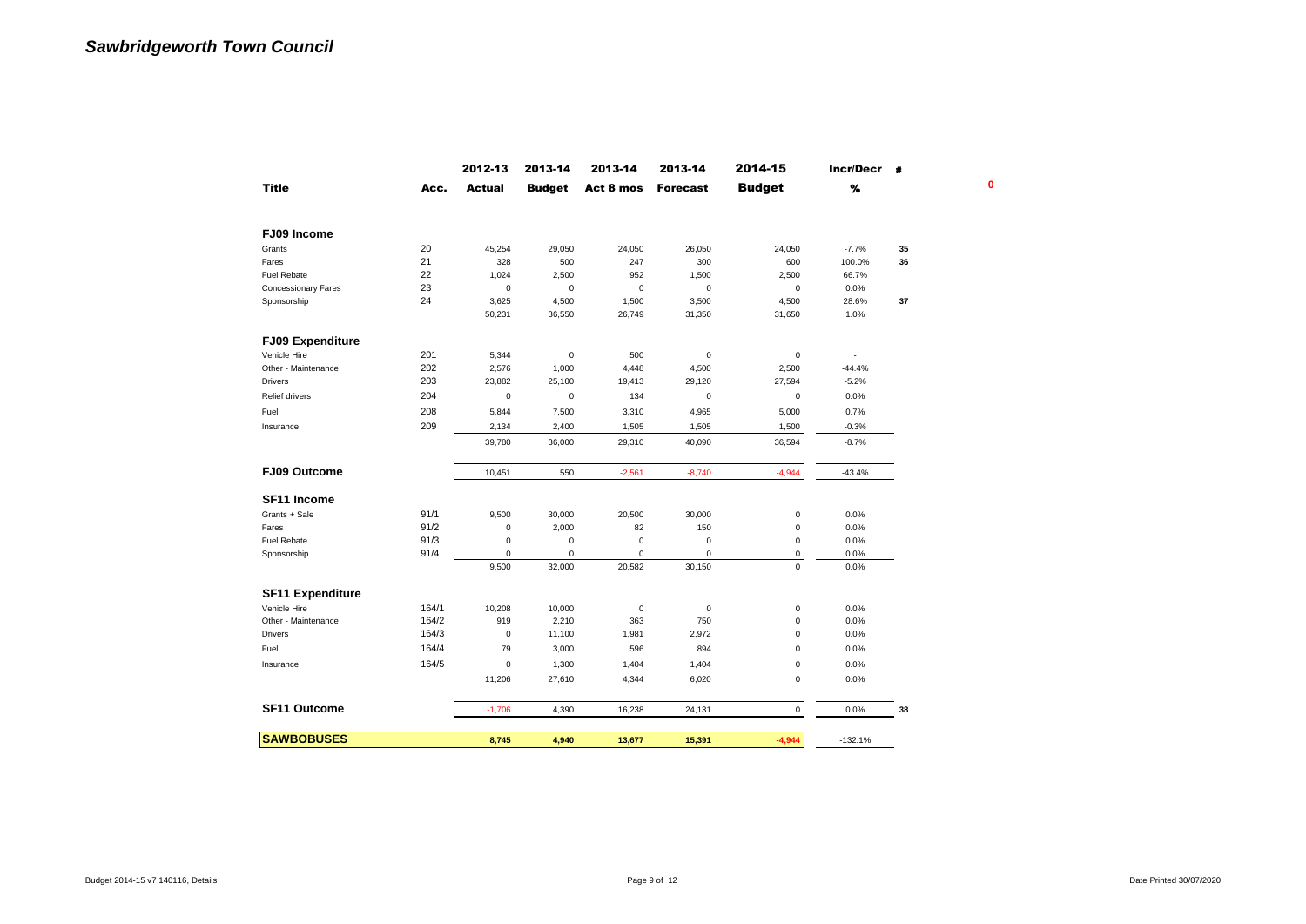|                            |       | 2012-13       | 2013-14       | 2013-14             | 2013-14         | 2014-15       | Incr/Decr |    |
|----------------------------|-------|---------------|---------------|---------------------|-----------------|---------------|-----------|----|
| <b>Title</b>               | Acc.  | <b>Actual</b> | <b>Budget</b> | Act 8 mos           | <b>Forecast</b> | <b>Budget</b> | %         |    |
| FJ09 Income                |       |               |               |                     |                 |               |           |    |
| Grants                     | 20    | 45,254        | 29,050        | 24,050              | 26,050          | 24,050        | $-7.7%$   | 35 |
| Fares                      | 21    | 328           | 500           | 247                 | 300             | 600           | 100.0%    | 36 |
| <b>Fuel Rebate</b>         | 22    | 1,024         | 2,500         | 952                 | 1,500           | 2,500         | 66.7%     |    |
| <b>Concessionary Fares</b> | 23    | 0             | $\mathbf 0$   | $\mathbf 0$         | $\pmb{0}$       | $\mathbf 0$   | 0.0%      |    |
| Sponsorship                | 24    | 3,625         | 4,500         | 1,500               | 3,500           | 4,500         | 28.6%     | 37 |
|                            |       | 50,231        | 36,550        | 26,749              | 31,350          | 31,650        | 1.0%      |    |
| <b>FJ09 Expenditure</b>    |       |               |               |                     |                 |               |           |    |
| Vehicle Hire               | 201   | 5,344         | $\pmb{0}$     | 500                 | $\pmb{0}$       | $\pmb{0}$     | $\sim$    |    |
| Other - Maintenance        | 202   | 2,576         | 1,000         | 4,448               | 4,500           | 2,500         | $-44.4%$  |    |
| <b>Drivers</b>             | 203   | 23,882        | 25,100        | 19,413              | 29,120          | 27,594        | $-5.2%$   |    |
| <b>Relief drivers</b>      | 204   | $\pmb{0}$     | $\mathbf 0$   | 134                 | $\pmb{0}$       | $\mathsf 0$   | 0.0%      |    |
| Fuel                       | 208   | 5,844         | 7,500         | 3,310               | 4,965           | 5,000         | 0.7%      |    |
| Insurance                  | 209   | 2,134         | 2,400         | 1,505               | 1,505           | 1,500         | $-0.3%$   |    |
|                            |       | 39,780        | 36,000        | 29,310              | 40,090          | 36,594        | $-8.7%$   |    |
| FJ09 Outcome               |       | 10,451        | 550           | $-2,561$            | $-8,740$        | $-4,944$      | $-43.4%$  |    |
| SF11 Income                |       |               |               |                     |                 |               |           |    |
| Grants + Sale              | 91/1  | 9,500         | 30,000        | 20,500              | 30,000          | $\pmb{0}$     | 0.0%      |    |
| Fares                      | 91/2  | 0             | 2,000         | 82                  | 150             | $\mathbf 0$   | 0.0%      |    |
| <b>Fuel Rebate</b>         | 91/3  | 0             | $\mathbf 0$   | $\mathbf 0$         | $\bf 0$         | 0             | 0.0%      |    |
| Sponsorship                | 91/4  | 0             | 0             | $\mathbf 0$         | $\mathbf 0$     | $\mathsf 0$   | 0.0%      |    |
|                            |       | 9,500         | 32,000        | 20,582              | 30,150          | 0             | 0.0%      |    |
| <b>SF11 Expenditure</b>    |       |               |               |                     |                 |               |           |    |
| Vehicle Hire               | 164/1 | 10,208        | 10,000        | $\mathsf{O}\xspace$ | $\pmb{0}$       | 0             | 0.0%      |    |
| Other - Maintenance        | 164/2 | 919           | 2,210         | 363                 | 750             | 0             | 0.0%      |    |
| <b>Drivers</b>             | 164/3 | 0             | 11,100        | 1,981               | 2,972           | 0             | 0.0%      |    |
| Fuel                       | 164/4 | 79            | 3,000         | 596                 | 894             | $\mathbf 0$   | 0.0%      |    |
| Insurance                  | 164/5 | 0             | 1,300         | 1,404               | 1,404           | 0             | 0.0%      |    |
|                            |       | 11,206        | 27,610        | 4,344               | 6,020           | $\mathbf 0$   | 0.0%      |    |
| SF11 Outcome               |       | $-1,706$      | 4,390         | 16,238              | 24,131          | $\mathbf 0$   | 0.0%      | 38 |
| <b>SAWBOBUSES</b>          |       |               |               |                     |                 |               |           |    |
|                            |       | 8,745         | 4.940         | 13,677              | 15,391          | $-4,944$      | $-132.1%$ |    |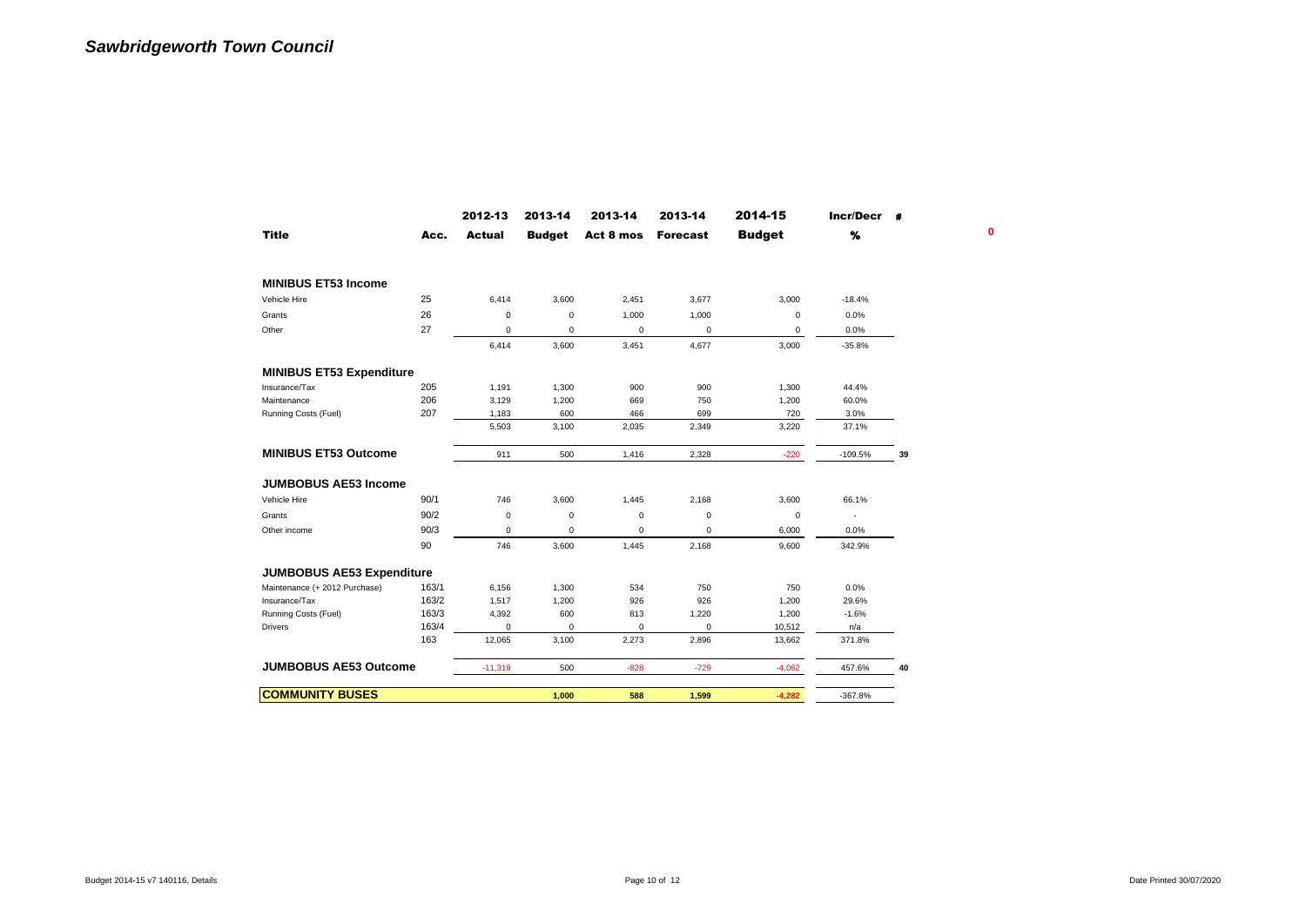|                                  |       | 2012-13       | 2013-14       | 2013-14     | 2013-14         | 2014-15       | Incr/Decr # |    |
|----------------------------------|-------|---------------|---------------|-------------|-----------------|---------------|-------------|----|
| <b>Title</b>                     | Acc.  | <b>Actual</b> | <b>Budget</b> | Act 8 mos   | <b>Forecast</b> | <b>Budget</b> | %           |    |
| <b>MINIBUS ET53 Income</b>       |       |               |               |             |                 |               |             |    |
| Vehicle Hire                     | 25    | 6,414         | 3,600         | 2,451       | 3,677           | 3,000         | $-18.4%$    |    |
| Grants                           | 26    | $\mathbf 0$   | $\mathbf 0$   | 1,000       | 1,000           | 0             | 0.0%        |    |
| Other                            | 27    | $\mathbf 0$   | $\pmb{0}$     | 0           | 0               | 0             | 0.0%        |    |
|                                  |       | 6,414         | 3,600         | 3,451       | 4,677           | 3,000         | $-35.8%$    |    |
| <b>MINIBUS ET53 Expenditure</b>  |       |               |               |             |                 |               |             |    |
| Insurance/Tax                    | 205   | 1,191         | 1,300         | 900         | 900             | 1,300         | 44.4%       |    |
| Maintenance                      | 206   | 3,129         | 1,200         | 669         | 750             | 1,200         | 60.0%       |    |
| Running Costs (Fuel)             | 207   | 1,183         | 600           | 466         | 699             | 720           | 3.0%        |    |
|                                  |       | 5,503         | 3,100         | 2,035       | 2,349           | 3,220         | 37.1%       |    |
| <b>MINIBUS ET53 Outcome</b>      |       | 911           | 500           | 1,416       | 2.328           | $-220$        | $-109.5%$   | 39 |
| <b>JUMBOBUS AE53 Income</b>      |       |               |               |             |                 |               |             |    |
| Vehicle Hire                     | 90/1  | 746           | 3,600         | 1,445       | 2,168           | 3,600         | 66.1%       |    |
| Grants                           | 90/2  | $\mathbf 0$   | $\mathbf 0$   | 0           | $\mathbf 0$     | 0             | ٠           |    |
| Other income                     | 90/3  | $\mathbf 0$   | $\pmb{0}$     | $\mathbf 0$ | $\mathbf 0$     | 6,000         | 0.0%        |    |
|                                  | 90    | 746           | 3,600         | 1,445       | 2,168           | 9,600         | 342.9%      |    |
| <b>JUMBOBUS AE53 Expenditure</b> |       |               |               |             |                 |               |             |    |
| Maintenance (+ 2012 Purchase)    | 163/1 | 6,156         | 1,300         | 534         | 750             | 750           | 0.0%        |    |
| Insurance/Tax                    | 163/2 | 1,517         | 1,200         | 926         | 926             | 1,200         | 29.6%       |    |
| Running Costs (Fuel)             | 163/3 | 4,392         | 600           | 813         | 1,220           | 1,200         | $-1.6%$     |    |
| <b>Drivers</b>                   | 163/4 | $\mathbf 0$   | 0             | $\mathbf 0$ | $\mathbf 0$     | 10,512        | n/a         |    |
|                                  | 163   | 12,065        | 3,100         | 2,273       | 2,896           | 13,662        | 371.8%      |    |
| <b>JUMBOBUS AE53 Outcome</b>     |       | $-11,319$     | 500           | $-828$      | $-729$          | $-4,062$      | 457.6%      | 40 |
|                                  |       |               | 1,000         | 588         | 1,599           | $-4,282$      | $-367.8%$   |    |
| <b>COMMUNITY BUSES</b>           |       |               |               |             |                 |               |             |    |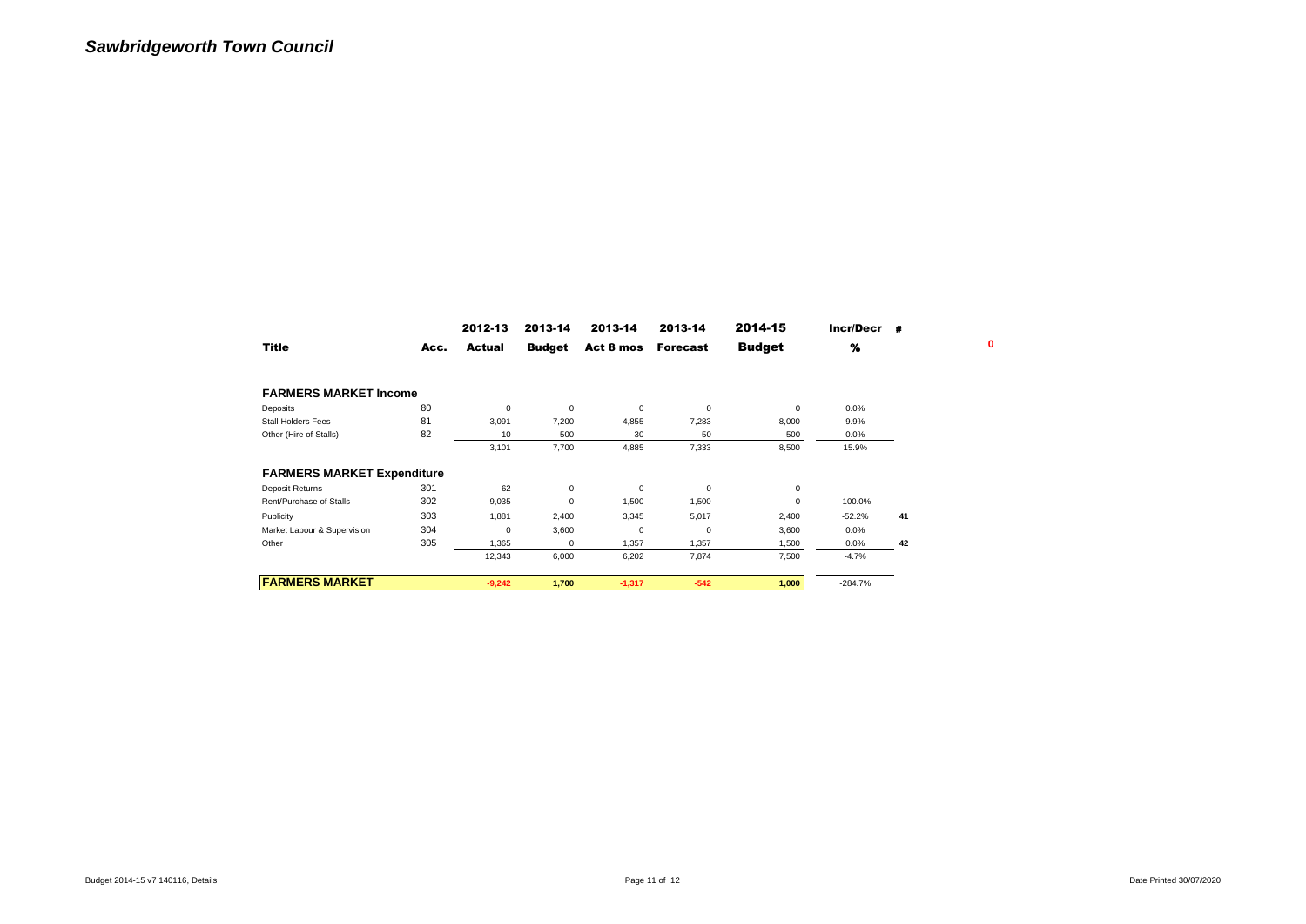|                                   |      | 2012-13  | 2013-14       | 2013-14     | 2013-14         | 2014-15       | Incr/Decr | 量  |   |
|-----------------------------------|------|----------|---------------|-------------|-----------------|---------------|-----------|----|---|
| Title                             | Acc. | Actual   | <b>Budget</b> | Act 8 mos   | <b>Forecast</b> | <b>Budget</b> | %         |    | 0 |
| <b>FARMERS MARKET Income</b>      |      |          |               |             |                 |               |           |    |   |
| Deposits                          | 80   | 0        | $\mathbf 0$   | 0           | 0               | 0             | 0.0%      |    |   |
| <b>Stall Holders Fees</b>         | 81   | 3,091    | 7,200         | 4,855       | 7,283           | 8,000         | 9.9%      |    |   |
| Other (Hire of Stalls)            | 82   | 10       | 500           | 30          | 50              | 500           | 0.0%      |    |   |
|                                   |      | 3,101    | 7,700         | 4,885       | 7,333           | 8,500         | 15.9%     |    |   |
| <b>FARMERS MARKET Expenditure</b> |      |          |               |             |                 |               |           |    |   |
| Deposit Returns                   | 301  | 62       | $\mathsf 0$   | 0           | 0               | 0             |           |    |   |
| Rent/Purchase of Stalls           | 302  | 9,035    | $\mathsf 0$   | 1,500       | 1,500           | 0             | $-100.0%$ |    |   |
| Publicity                         | 303  | 1,881    | 2,400         | 3,345       | 5,017           | 2,400         | $-52.2%$  | 41 |   |
| Market Labour & Supervision       | 304  | 0        | 3,600         | $\mathbf 0$ | 0               | 3,600         | 0.0%      |    |   |
| Other                             | 305  | 1,365    | $\mathbf 0$   | 1,357       | 1,357           | 1,500         | 0.0%      | 42 |   |
|                                   |      | 12,343   | 6,000         | 6,202       | 7,874           | 7,500         | $-4.7%$   |    |   |
| <b>FARMERS MARKET</b>             |      | $-9,242$ | 1,700         | $-1,317$    | $-542$          | 1,000         | $-284.7%$ |    |   |